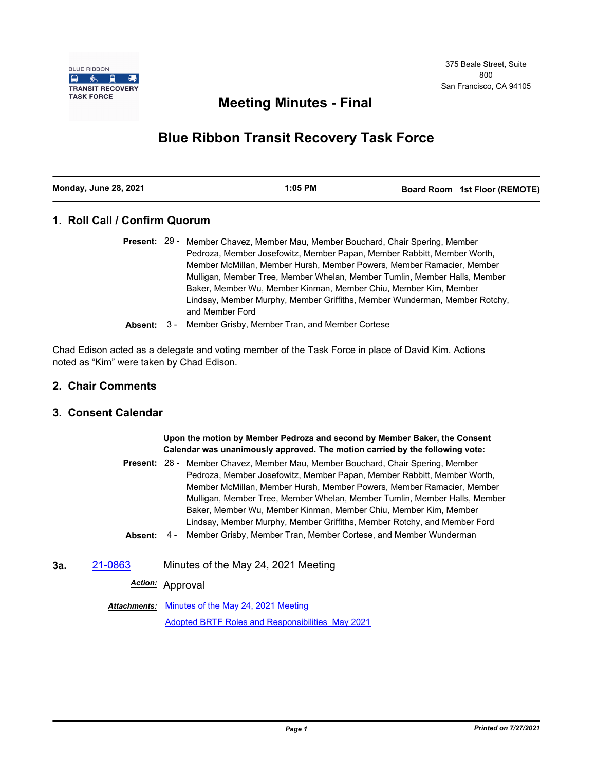

## **Meeting Minutes - Final**

# **Blue Ribbon Transit Recovery Task Force**

#### **1. Roll Call / Confirm Quorum**

- Present: 29 Member Chavez, Member Mau, Member Bouchard, Chair Spering, Member Pedroza, Member Josefowitz, Member Papan, Member Rabbitt, Member Worth, Member McMillan, Member Hursh, Member Powers, Member Ramacier, Member Mulligan, Member Tree, Member Whelan, Member Tumlin, Member Halls, Member Baker, Member Wu, Member Kinman, Member Chiu, Member Kim, Member Lindsay, Member Murphy, Member Griffiths, Member Wunderman, Member Rotchy, and Member Ford
- **Absent:** 3 Member Grisby, Member Tran, and Member Cortese

Chad Edison acted as a delegate and voting member of the Task Force in place of David Kim. Actions noted as "Kim" were taken by Chad Edison.

#### **2. Chair Comments**

#### **3. Consent Calendar**

**Upon the motion by Member Pedroza and second by Member Baker, the Consent Calendar was unanimously approved. The motion carried by the following vote:** Present: 28 - Member Chavez, Member Mau, Member Bouchard, Chair Spering, Member

- Pedroza, Member Josefowitz, Member Papan, Member Rabbitt, Member Worth, Member McMillan, Member Hursh, Member Powers, Member Ramacier, Member Mulligan, Member Tree, Member Whelan, Member Tumlin, Member Halls, Member Baker, Member Wu, Member Kinman, Member Chiu, Member Kim, Member Lindsay, Member Murphy, Member Griffiths, Member Rotchy, and Member Ford
- **Absent:** 4 Member Grisby, Member Tran, Member Cortese, and Member Wunderman
- **3a.** [21-0863](http://mtc.legistar.com/gateway.aspx?m=l&id=/matter.aspx?key=22456) Minutes of the May 24, 2021 Meeting

*Action:* Approval

Attachments: [Minutes of the May 24, 2021 Meeting](http://mtc.legistar.com/gateway.aspx?M=F&ID=e3d287a9-714c-4218-bc51-cc3fc3ec8e0c.pdf) [Adopted BRTF Roles and Responsibilities\\_May 2021](http://mtc.legistar.com/gateway.aspx?M=F&ID=6abe1060-d0c8-4932-8fc4-e3a2c6ff0a6d.pdf)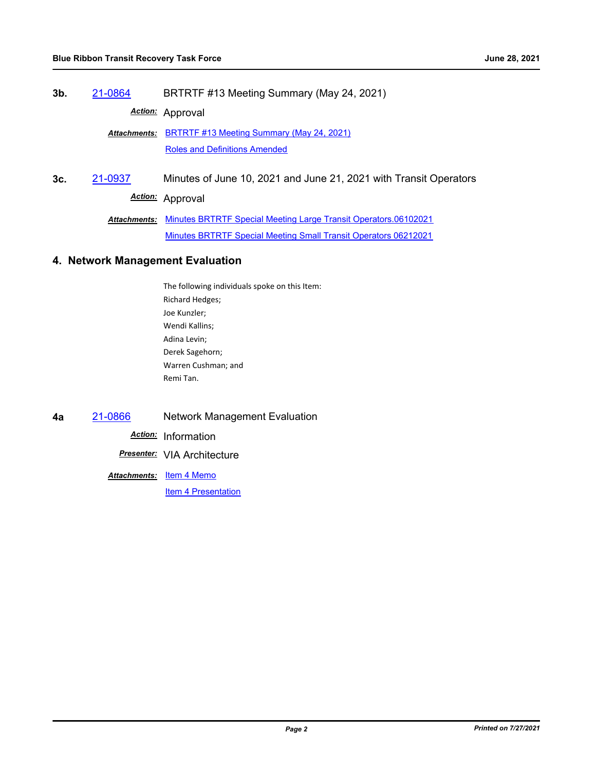**3b.** [21-0864](http://mtc.legistar.com/gateway.aspx?m=l&id=/matter.aspx?key=22457) BRTRTF #13 Meeting Summary (May 24, 2021)

*Action:* Approval

Attachments: [BRTRTF #13 Meeting Summary \(May 24, 2021\)](http://mtc.legistar.com/gateway.aspx?M=F&ID=22c35db6-98bd-4258-81dc-ad3a4961b5cb.pdf) [Roles and Definitions Amended](http://mtc.legistar.com/gateway.aspx?M=F&ID=1f3699af-0b0a-4d4e-aa87-be6ed3b4cc25.pdf)

**3c.** [21-0937](http://mtc.legistar.com/gateway.aspx?m=l&id=/matter.aspx?key=22530) Minutes of June 10, 2021 and June 21, 2021 with Transit Operators *Action:* Approval

> Attachments: [Minutes BRTRTF Special Meeting Large Transit Operators.06102021](http://mtc.legistar.com/gateway.aspx?M=F&ID=9f5fd3d7-4574-42c7-a39a-ef03f905a4e6.pdf) [Minutes BRTRTF Special Meeting Small Transit Operators 06212021](http://mtc.legistar.com/gateway.aspx?M=F&ID=fb2e085c-7059-4b13-a234-c553ac23d3b5.pdf)

#### **4. Network Management Evaluation**

- The following individuals spoke on this Item: Richard Hedges; Joe Kunzler; Wendi Kallins; Adina Levin; Derek Sagehorn; Warren Cushman; and Remi Tan.
- **4a** [21-0866](http://mtc.legistar.com/gateway.aspx?m=l&id=/matter.aspx?key=22459) Network Management Evaluation

*Action:* Information

*Presenter:* VIA Architecture

<u>Attachments: [Item 4 Memo](http://mtc.legistar.com/gateway.aspx?M=F&ID=6d9e52b0-6263-42fe-bb61-ed135c3d3433.pdf)</u>

**[Item 4 Presentation](http://mtc.legistar.com/gateway.aspx?M=F&ID=4828337d-381d-4c13-8adb-45173adb7f6f.pdf)**